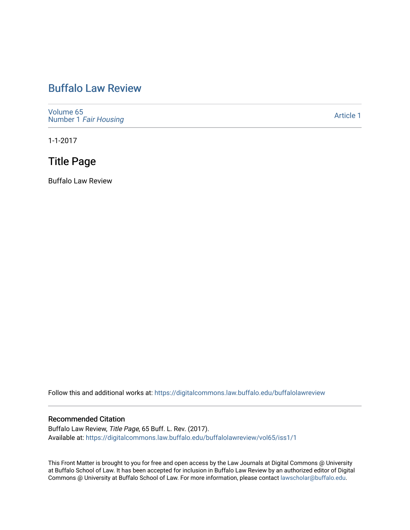# [Buffalo Law Review](https://digitalcommons.law.buffalo.edu/buffalolawreview)

[Volume 65](https://digitalcommons.law.buffalo.edu/buffalolawreview/vol65) Number 1 [Fair Housing](https://digitalcommons.law.buffalo.edu/buffalolawreview/vol65/iss1) 

[Article 1](https://digitalcommons.law.buffalo.edu/buffalolawreview/vol65/iss1/1) 

1-1-2017

### Title Page

Buffalo Law Review

Follow this and additional works at: [https://digitalcommons.law.buffalo.edu/buffalolawreview](https://digitalcommons.law.buffalo.edu/buffalolawreview?utm_source=digitalcommons.law.buffalo.edu%2Fbuffalolawreview%2Fvol65%2Fiss1%2F1&utm_medium=PDF&utm_campaign=PDFCoverPages) 

### Recommended Citation

Buffalo Law Review, Title Page, 65 Buff. L. Rev. (2017). Available at: [https://digitalcommons.law.buffalo.edu/buffalolawreview/vol65/iss1/1](https://digitalcommons.law.buffalo.edu/buffalolawreview/vol65/iss1/1?utm_source=digitalcommons.law.buffalo.edu%2Fbuffalolawreview%2Fvol65%2Fiss1%2F1&utm_medium=PDF&utm_campaign=PDFCoverPages) 

This Front Matter is brought to you for free and open access by the Law Journals at Digital Commons @ University at Buffalo School of Law. It has been accepted for inclusion in Buffalo Law Review by an authorized editor of Digital Commons @ University at Buffalo School of Law. For more information, please contact [lawscholar@buffalo.edu](mailto:lawscholar@buffalo.edu).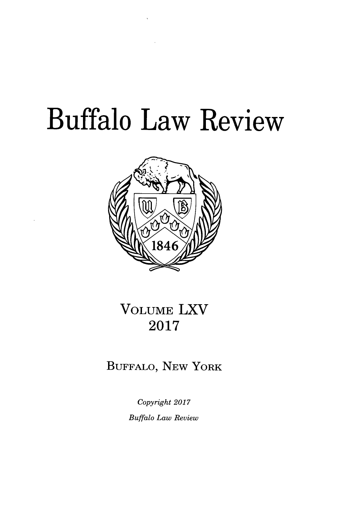# Buffalo Law Review



# **VOLUME LXV 2017**

# **BUFFALO, NEW** YORK

*Copyright 2017 Buffalo Law Review*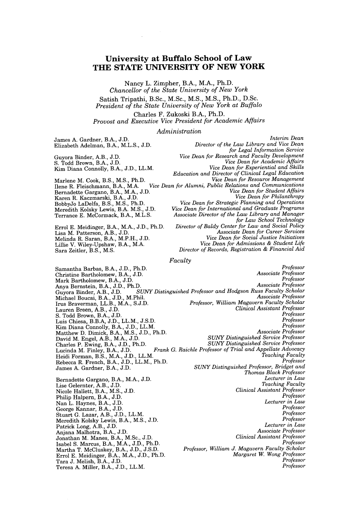### **University at Buffalo School of Law THE STATE UNIVERSITY OF NEW YORK**

Nancy L. Zimpher, B.A., M.A., Ph.D. *Chancellor of the State University of New York* Satish Tripathi, B.Sc., M.Sc., **M.S., M.S.,** Ph.D., **D.Sc.**  President of the State University of New York at Buffalo

Charles F. Zukoski B.A., Ph.D.

Provost and Executive Vice President for Academic Affairs

### *Administration*

| James A. Gardner, B.A., J.D.                | Interim Dean                                              |
|---------------------------------------------|-----------------------------------------------------------|
| Elizabeth Adelman, B.A., M.L.S., J.D.       | Director of the Law Library and Vice Dean                 |
|                                             | for Legal Information Service                             |
| Guyora Binder, A.B., J.D.                   | Vice Dean for Research and Faculty Development            |
| S. Todd Brown, B.A., J.D.                   | Vice Dean for Academic Affairs                            |
| Kim Diana Connolly, B.A., J.D., LL.M.       | Vice Dean for Experiential and Skills                     |
|                                             | Education and Director of Clinical Legal Education        |
| Marlene M. Cook, B.S., M.S., Ph.D.          | Vice Dean for Resource Management                         |
| Ilene R. Fleischmann, B.A., M.A.            | Vice Dean for Alumni, Public Relations and Communications |
| Bernadette Gargano, B.A., M.A., J.D.        | Vice Dean for Student Affairs                             |
| Karen R. Kaczmarski, B.A., J.D.             | Vice Dean for Philanthropy                                |
| BobbyJo LaDelfa, B.S., M.S., Ph.D.          | Vice Dean for Strategic Planning and Operations           |
| Meredith Kolsky Lewis, B.A. M.S., J.D.      | Vice Dean for International and Graduate Programs         |
| Terrance E. McCormack, B.A., M.L.S.         | Associate Director of the Law Library and Manager         |
|                                             | for Law School Technology                                 |
| Errol E. Meidinger, B.A., M.A., J.D., Ph.D. | Director of Baldy Center for Law and Social Policy        |
| Lisa M. Patterson, A.B., J.D.               | <b>Associate Dean for Career Services</b>                 |
| Melinda R. Saran, B.A., M.P.H., J.D.        | Vice Dean for Social Justice Initiatives                  |
| Lillie V. Wiley-Upshaw, B.A., M.A.          | Vice Dean for Admissions & Student Life                   |
| Sara Zeitler, B.S., M.S.                    | Director of Records, Registration & Financial Aid         |

#### *Faculty*

*Professor* Samantha Barbas, BVA., **J.D.,** Ph.D. Christine Bartholomew, B.A., **J.D.** *Associate Professor*  Mark Bartholomew, BDA., **J.D.** *Professor*  Anya Bernstein, B.A., J.D., Ph.D.<br>Guyora Binder, A.B., J.D. Guyora Binder, AB., **J.D.** *SUNY DistinguishedProfessor and Hodgson Russ Faculty Scholar*  Michael Boucai, BA., **J.D.,** M.Phil. *Associate Professor*  Irus Braverman, LL.B., M.A., **S.J.D.** *Professor, William Magavern Faculty Scholar*  Lauren Breen, A.B., **J.D.** *ClinicalAssistant Professor Professor* **S.** Todd Brown, BA., **J.D.**  Luis Chiesa, B.B.A, **J.D.,** LL.M., **J.S.D.**  *Professor*  Kim Diana Connolly, B.A., J.D., LL.M.<br>Matthew D. Dimick, B.A., J.D., LL.M. (1998) Matthew D. Dimick, B.A., M.S., J.D., Ph.D. (1998) Matthew D. Dimick, B.A., M.S., J.D., Ph.D. (1998) SUNY Distinguished Service Professor Charles P. Ewing, B.A., **J.D.,** Ph.D. *SUNY Distinguished Service Professor*  Frank G. Raichle Professor of Trial and Appellate Advocacy<br>*Teaching Faculty* Lucinda M. Finley, B.A., J.D.<br>Heidi Forman, B.S., M.A., J.D., LL.M.<br>Rebecce R. French, B.A., J.D., LL.M. Ph.D.<br>*Teaching Faculty Professor* Rebecca R. French, B.A., **J.D.,** LL.M., Ph.D. *Professor*  **James A. Gardner, B.A., J.D.** *SUNY Distinguished Professor, B.A., A.D. SUNY Distinguished Professor, B.A., A.D. Thomas Black Professor*  Bernadette Gargano, B.A., MA., **J.D.** *Lecturer in Law*  Lise Gelernter, A.B., J.D. *Teaching Faculty Teaching Faculty* Nicole Hallett, B.A., **M J.D. .S.,** *ClinicalAssistant Professor*  Philip Halpern, B.A., **J.D.** *Professor*  Nan L. Haynes, B.A., **J.D.** *Lecturer in Law*  George Kannar, B.A., **J.D.** *Professor Professor Professor*  Stuart **G.** Lazar, A.B., **J.D.,** LL.M. Meredith Kolsky Lewis, B.A., **MS., J.D.**  Patrick Long, AB., **J.D.** *Lecturer in Law*  Anjana Malhotra, BTA., **J.D.** *Associate Professor*  Jonathan M. Manes, B.A., M.Sc., **J.D.** *ClinicalAssistant Professor*  Isabel **S.** Marcus, B.A., M.A., **J.D.,** Ph.D. *Professor*  Martha T. McCluskey, B.A., **J.D., J.S.D.** *Professor, William J. Magavern Faculty Scholar*  Errol **E.** Meidinger, B.A., MA., **J.D.,** Ph.D. *Margaret W. Wong Professor*  Tara **J.** Melish, B.A., **J.D.** *Professor* 

Teresa **A.** Miller, BA., **J.D.,** LL.M. *Professor*